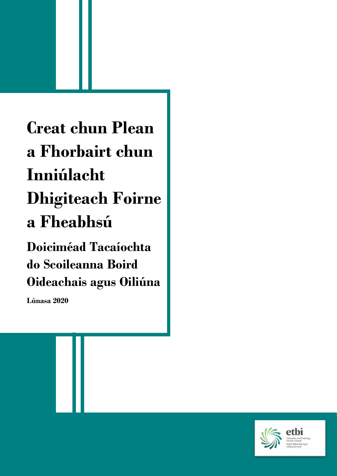**Creat chun Plean a Fhorbairt chun Inniúlacht Dhigiteach Foirne a Fheabhsú Doiciméad Tacaíochta do Scoileanna Boird** 

**Oideachais agus Oiliúna**

**Lúnasa 2020**

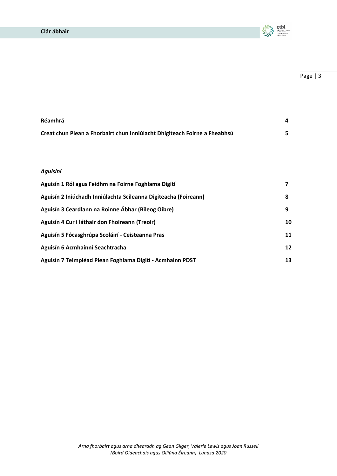

| Réamhrá                                                                   |  |
|---------------------------------------------------------------------------|--|
| Creat chun Plean a Fhorbairt chun Inniúlacht Dhigiteach Foirne a Fheabhsú |  |

# *Aguisíní*

| Aguisín 1 Ról agus Feidhm na Foirne Foghlama Digití             |    |
|-----------------------------------------------------------------|----|
| Aguisín 2 Iniúchadh Inniúlachta Scileanna Digiteacha (Foireann) | 8  |
| Aguisín 3 Ceardlann na Roinne Ábhar (Bileog Oibre)              | 9  |
| Aguisín 4 Cur i láthair don Fhoireann (Treoir)                  | 10 |
| Aguisín 5 Fócasghrúpa Scoláirí - Ceisteanna Pras                | 11 |
| Aguisín 6 Acmhainní Seachtracha                                 | 12 |
| Aguisín 7 Teimpléad Plean Foghlama Digití - Acmhainn PDST       | 13 |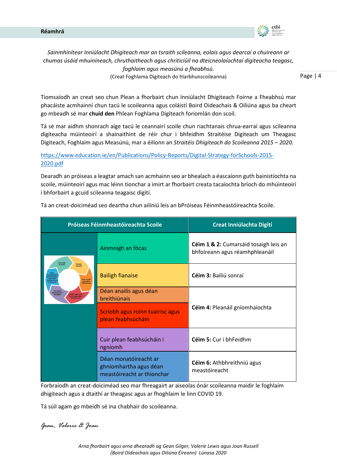

*Sainmhínítear Inniúlacht Dhigiteach mar an tsraith scileanna, eolais agus dearcaí a chuireann ar chumas úsáid mhuiníneach, chruthaitheach agus chriticiúil na dteicneolaíochtaí digiteacha teagasc, foghlaim agus measúnú a fheabhsú.* 

(Creat Foghlama Digiteach do hIarbhunscoileanna)

Page | 4

Tiomsaíodh an creat seo chun Plean a fhorbairt chun Inniúlacht Dhigiteach Foirne a Fheabhsú mar phacáiste acmhainní chun tacú le scoileanna agus coláistí Boird Oideachais & Oiliúna agus ba cheart go mbeadh sé mar **chuid den** Phlean Foghlama Digiteach foriomlán don scoil.

Tá sé mar aidhm shonrach aige tacú le ceannairí scoile chun riachtanais chrua-earraí agus scileanna digiteacha múinteoirí a shainaithint de réir chur i bhfeidhm Straitéise Digiteach um Theagasc Digiteach, Foghlaim agus Measúnú, mar a éilíonn an *Straitéis Dhigiteach do Scoileanna 2015 – 2020.*

[https://www.education.ie/en/Publications/Policy-Reports/Digital-Strategy-forSchools-2015-](https://www.education.ie/en/Publications/Policy-Reports/Digital-Strategy-forSchools-2015-2020.pdf) [2020.pdf](https://www.education.ie/en/Publications/Policy-Reports/Digital-Strategy-forSchools-2015-2020.pdf)

Dearadh an próiseas a leagtar amach san acmhainn seo ar bhealach a éascaíonn guth bainistíochta na scoile, múinteoirí agus mac léinn tionchar a imirt ar fhorbairt creata tacaíochta bríoch do mhúinteoirí i bhforbairt a gcuid scileanna teagaisc digití.

|                                                                                      | Próiseas Féinmheastóireachta Scoile                                           | <b>Creat Inniúlachta Digití</b>                                         |  |  |
|--------------------------------------------------------------------------------------|-------------------------------------------------------------------------------|-------------------------------------------------------------------------|--|--|
| Ainmnigh                                                                             | Ainmnigh an fócas                                                             | Céim 1 & 2: Cumarsáid tosaigh leis an<br>bhfoireann agus réamhphleanáil |  |  |
| <b>Fianaise</b><br>an fócas<br>a bhailiú<br>Déan anaili<br>agus déan<br>breithiúnais | <b>Bailigh fianaise</b>                                                       | Céim 3: Bailiú sonraí                                                   |  |  |
| bhsúcháin<br>icriobh agus roinn<br>hhfoidh<br>airisc agus plean                      | Déan anailís agus déan<br>breithiúnais                                        |                                                                         |  |  |
|                                                                                      | Scríobh agus roinn tuairisc agus<br>plean feabhsúcháin                        | Céim 4: Pleanáil gníomhaíochta                                          |  |  |
|                                                                                      | Cuir plean feabhsúcháin i<br>ngníomh                                          | Céim 5: Cur i bhFeidhm                                                  |  |  |
|                                                                                      | Déan monatóireacht ar<br>ghníomhartha agus déan<br>meastóireacht ar thionchar | Céim 6: Athbhreithniú agus<br>meastóireacht                             |  |  |

Tá an creat-doiciméad seo deartha chun ailíniú leis an bPróiseas Féinmheastóireachta Scoile.

Forbraíodh an creat-doiciméad seo mar fhreagairt ar aiseolas ónár scoileanna maidir le foghlaim dhigiteach agus a dtaithí ar theagasc agus ar fhoghlaim le linn COVID 19.

Tá súil agam go mbeidh sé ina chabhair do scoileanna.

*Gean, Valerie & Joan*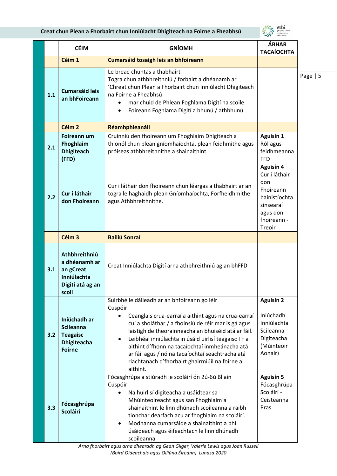# **Creat chun Plean a Fhorbairt chun Inniúlacht Dhigiteach na Foirne a Fheabhsú**



|     | <b>CÉIM</b>                                                                                | <b>GNÍOMH</b>                                                                                                                                                                                                                                                                                                                                                                                            | <b>ÁBHAR</b><br><b>TACAÍOCHTA</b>                                                                                        |
|-----|--------------------------------------------------------------------------------------------|----------------------------------------------------------------------------------------------------------------------------------------------------------------------------------------------------------------------------------------------------------------------------------------------------------------------------------------------------------------------------------------------------------|--------------------------------------------------------------------------------------------------------------------------|
|     | Céim 1                                                                                     | Cumarsáid tosaigh leis an bhfoireann                                                                                                                                                                                                                                                                                                                                                                     |                                                                                                                          |
| 1.1 | <b>Cumarsáid leis</b><br>an bhFoireann                                                     | Le breac-chuntas a thabhairt<br>Togra chun athbhreithniú / forbairt a dhéanamh ar<br>'Chreat chun Plean a Fhorbairt chun Inniúlacht Dhigiteach<br>na Foirne a Fheabhsú<br>mar chuid de Phlean Foghlama Digití na scoile<br>Foireann Foghlama Digití a bhunú / athbhunú<br>$\bullet$                                                                                                                      |                                                                                                                          |
|     | Céim <sub>2</sub>                                                                          | Réamhphleanáil                                                                                                                                                                                                                                                                                                                                                                                           |                                                                                                                          |
| 2.1 | <b>Foireann um</b><br>Fhoghlaim<br><b>Dhigiteach</b><br>(FFD)                              | Cruinniú den fhoireann um Fhoghlaim Dhigiteach a<br>thionól chun plean gníomhaíochta, plean feidhmithe agus<br>próiseas athbhreithnithe a shainaithint.                                                                                                                                                                                                                                                  | <b>Aguisín 1</b><br>Ról agus<br>feidhmeanna<br><b>FFD</b>                                                                |
| 2.2 | Cur i láthair<br>don Fhoireann                                                             | Cur i láthair don fhoireann chun léargas a thabhairt ar an<br>togra le haghaidh plean Gníomhaíochta, Forfheidhmithe<br>agus Athbhreithnithe.                                                                                                                                                                                                                                                             | <b>Aguisín 4</b><br>Cur i láthair<br>don<br>Fhoireann<br>bainistíochta<br>sinsearaí<br>agus don<br>fhoireann -<br>Treoir |
|     | Céim <sub>3</sub>                                                                          | <b>Bailiú Sonraí</b>                                                                                                                                                                                                                                                                                                                                                                                     |                                                                                                                          |
| 3.1 | Athbhreithniú<br>a dhéanamh ar<br>an gCreat<br>Inniúlachta<br>Digití atá ag an<br>scoil    | Creat Inniúlachta Digití arna athbhreithniú ag an bhFFD                                                                                                                                                                                                                                                                                                                                                  |                                                                                                                          |
|     |                                                                                            | Suirbhé le dáileadh ar an bhfoireann go léir                                                                                                                                                                                                                                                                                                                                                             | <b>Aguisín 2</b>                                                                                                         |
| 3.2 | Iniúchadh ar<br><b>Scileanna</b><br><b>Teagaisc</b><br><b>Dhigiteacha</b><br><b>Foirne</b> | Cuspóir:<br>Ceanglais crua-earraí a aithint agus na crua-earraí<br>cuí a sholáthar / a fhoinsiú de réir mar is gá agus<br>laistigh de theorainneacha an bhuiséid atá ar fáil.<br>Leibhéal inniúlachta in úsáid uirlisí teagaisc TF a<br>aithint d'fhonn na tacaíochtaí inmheánacha atá<br>ar fáil agus / nó na tacaíochtaí seachtracha atá<br>riachtanach d'fhorbairt ghairmiúil na foirne a<br>aithint. | Iniúchadh<br>Inniúlachta<br>Scileanna<br>Digiteacha<br>(Múinteoir<br>Aonair)                                             |
| 3.3 | Fócasghrúpa<br><b>Scoláirí</b>                                                             | Fócasghrúpa a stiúradh le scoláirí ón 2ú-6ú Bliain<br>Cuspóir:<br>Na huirlisí digiteacha a úsáidtear sa<br>Mhúinteoireacht agus san Fhoghlaim a<br>shainaithint le linn dhúnadh scoileanna a raibh<br>tionchar dearfach acu ar fhoghlaim na scoláirí.<br>Modhanna cumarsáide a shainaithint a bhí<br>úsáideach agus éifeachtach le linn dhúnadh<br>scoileanna                                            | <b>Aguisín 5</b><br>Fócasghrúpa<br>Scoláirí -<br>Ceisteanna<br>Pras                                                      |

*Arna fhorbairt agus arna dhearadh ag Gean Gilger, Valerie Lewis agus Joan Russell (Boird Oideachais agus Oiliúna Éireann) Lúnasa 2020*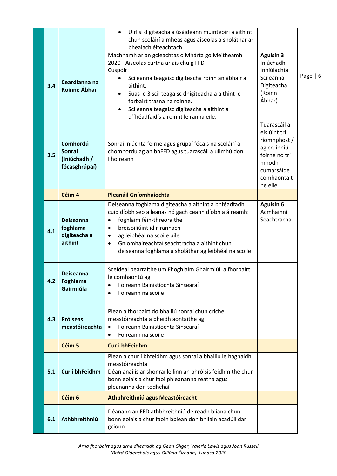|     |                                                         | Uirlisí digiteacha a úsáideann múinteoirí a aithint<br>$\bullet$<br>chun scoláirí a mheas agus aiseolas a sholáthar ar<br>bhealach éifeachtach.                                                                                                                                                                                                                    |                                                                                                                               |      |
|-----|---------------------------------------------------------|--------------------------------------------------------------------------------------------------------------------------------------------------------------------------------------------------------------------------------------------------------------------------------------------------------------------------------------------------------------------|-------------------------------------------------------------------------------------------------------------------------------|------|
| 3.4 | Ceardlanna na<br><b>Roinne Ábhar</b>                    | Machnamh ar an gcleachtas ó Mhárta go Meitheamh<br>2020 - Aiseolas curtha ar ais chuig FFD<br>Cuspóir:<br>Scileanna teagaisc digiteacha roinn an ábhair a<br>aithint.<br>Suas le 3 scil teagaisc dhigiteacha a aithint le<br>forbairt trasna na roinne.<br>Scileanna teagaisc digiteacha a aithint a<br>$\bullet$<br>d'fhéadfaidís a roinnt le ranna eile.         | <b>Aguisín 3</b><br>Iniúchadh<br>Inniúlachta<br>Scileanna<br>Digiteacha<br>(Roinn<br>Ábhar)                                   | Page |
| 3.5 | Comhordú<br>Sonraí<br>(Iniúchadh /<br>fócasghrúpaí)     | Sonraí iniúchta foirne agus grúpaí fócais na scoláirí a<br>chomhordú ag an bhFFD agus tuarascáil a ullmhú don<br>Fhoireann                                                                                                                                                                                                                                         | Tuarascáil a<br>eisiúint trí<br>ríomhphost /<br>ag cruinniú<br>foirne nó trí<br>mhodh<br>cumarsáide<br>comhaontait<br>he eile |      |
|     | Céim 4                                                  | <b>Pleanáil Gníomhaíochta</b>                                                                                                                                                                                                                                                                                                                                      |                                                                                                                               |      |
| 4.1 | <b>Deiseanna</b><br>foghlama<br>digiteacha a<br>aithint | Deiseanna foghlama digiteacha a aithint a bhféadfadh<br>cuid díobh seo a leanas nó gach ceann díobh a áireamh:<br>foghlaim féin-threoraithe<br>$\bullet$<br>breisoiliúint idir-rannach<br>$\bullet$<br>ag leibhéal na scoile uile<br>$\bullet$<br>Gníomhaireachtaí seachtracha a aithint chun<br>$\bullet$<br>deiseanna foghlama a sholáthar ag leibhéal na scoile | <b>Aguisín 6</b><br>Acmhainní<br>Seachtracha                                                                                  |      |
| 4.2 | <b>Deiseanna</b><br>Foghlama<br>Gairmiúla               | Sceideal beartaithe um Fhoghlaim Ghairmiúil a fhorbairt<br>le comhaontú ag<br>Foireann Bainistíochta Sinsearaí<br>Foireann na scoile<br>$\bullet$                                                                                                                                                                                                                  |                                                                                                                               |      |
| 4.3 | <b>Próiseas</b><br>meastóireachta                       | Plean a fhorbairt do bhailiú sonraí chun críche<br>meastóireachta a bheidh aontaithe ag<br>Foireann Bainistíochta Sinsearaí<br>$\bullet$<br>Foireann na scoile<br>$\bullet$                                                                                                                                                                                        |                                                                                                                               |      |
|     | Céim 5                                                  | <b>Cur i bhFeidhm</b>                                                                                                                                                                                                                                                                                                                                              |                                                                                                                               |      |
| 5.1 | Cur i bhFeidhm                                          | Plean a chur i bhfeidhm agus sonraí a bhailiú le haghaidh<br>meastóireachta<br>Déan anailís ar shonraí le linn an phróisis feidhmithe chun<br>bonn eolais a chur faoi phleananna reatha agus<br>pleananna don todhchaí                                                                                                                                             |                                                                                                                               |      |
|     | Céim 6                                                  | Athbhreithniú agus Meastóireacht                                                                                                                                                                                                                                                                                                                                   |                                                                                                                               |      |
| 6.1 | Athbhreithniú                                           | Déanann an FFD athbhreithniú deireadh bliana chun<br>bonn eolais a chur faoin bplean don bhliain acadúil dar<br>gcionn                                                                                                                                                                                                                                             |                                                                                                                               |      |

 $6 \,$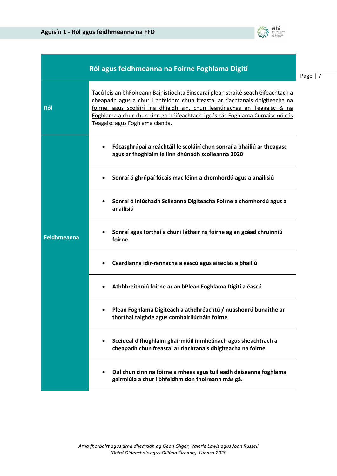

|                    | Ról agus feidhmeanna na Foirne Foghlama Digití                                                                                                                                                                                                                                                                                                                 |
|--------------------|----------------------------------------------------------------------------------------------------------------------------------------------------------------------------------------------------------------------------------------------------------------------------------------------------------------------------------------------------------------|
| Ról                | Tacú leis an bhFoireann Bainistíochta Sinsearaí plean straitéiseach éifeachtach a<br>cheapadh agus a chur i bhfeidhm chun freastal ar riachtanais dhigiteacha na<br>foirne, agus scoláirí ina dhiaidh sin, chun leanúnachas an Teagaisc & na<br>Foghlama a chur chun cinn go héifeachtach i gcás cás Foghlama Cumaisc nó cás<br>Teagaisc agus Foghlama cianda. |
|                    | Fócasghrúpaí a reáchtáil le scoláirí chun sonraí a bhailiú ar theagasc<br>agus ar fhoghlaim le linn dhúnadh scoileanna 2020                                                                                                                                                                                                                                    |
|                    | Sonraí ó ghrúpaí fócais mac léinn a chomhordú agus a anailísiú                                                                                                                                                                                                                                                                                                 |
|                    | Sonraí ó Iniúchadh Scileanna Digiteacha Foirne a chomhordú agus a<br>anailísiú                                                                                                                                                                                                                                                                                 |
| <b>Feidhmeanna</b> | Sonraí agus torthaí a chur i láthair na foirne ag an gcéad chruinniú<br>foirne                                                                                                                                                                                                                                                                                 |
|                    | Ceardlanna idir-rannacha a éascú agus aiseolas a bhailiú                                                                                                                                                                                                                                                                                                       |
|                    | Athbhreithniú foirne ar an bPlean Foghlama Digití a éascú                                                                                                                                                                                                                                                                                                      |
|                    | Plean Foghlama Digiteach a athdhréachtú / nuashonrú bunaithe ar<br>thorthaí taighde agus comhairliúcháin foirne                                                                                                                                                                                                                                                |
|                    | Sceideal d'fhoghlaim ghairmiúil inmheánach agus sheachtrach a<br>cheapadh chun freastal ar riachtanais dhigiteacha na foirne                                                                                                                                                                                                                                   |
|                    | Dul chun cinn na foirne a mheas agus tuilleadh deiseanna foghlama<br>gairmiúla a chur i bhfeidhm don fhoireann más gá.                                                                                                                                                                                                                                         |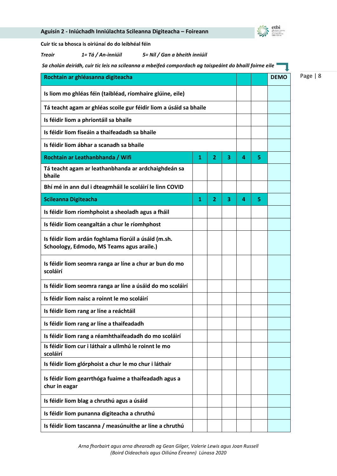| Sa cholún deiridh, cuir tic leis na scileanna a mbeifeá compordach ag taispeáint do bhaill foirne eile |   |                |   |   |   |             |
|--------------------------------------------------------------------------------------------------------|---|----------------|---|---|---|-------------|
| Rochtain ar ghléasanna digiteacha                                                                      |   |                |   |   |   | <b>DEMO</b> |
| Is liom mo ghléas féin (taibléad, ríomhaire glúine, eile)                                              |   |                |   |   |   |             |
| Tá teacht agam ar ghléas scoile gur féidir liom a úsáid sa bhaile                                      |   |                |   |   |   |             |
| Is féidir liom a phriontáil sa bhaile                                                                  |   |                |   |   |   |             |
| Is féidir liom físeáin a thaifeadadh sa bhaile                                                         |   |                |   |   |   |             |
| Is féidir liom ábhar a scanadh sa bhaile                                                               |   |                |   |   |   |             |
| Rochtain ar Leathanbhanda / Wifi                                                                       | 1 | $\overline{2}$ | 3 | 4 | 5 |             |
| Tá teacht agam ar leathanbhanda ar ardchaighdeán sa<br>bhaile                                          |   |                |   |   |   |             |
| Bhí mé in ann dul i dteagmháil le scoláirí le linn COVID                                               |   |                |   |   |   |             |
| <b>Scileanna Digiteacha</b>                                                                            | 1 | 2              | 3 | 4 | 5 |             |
| Is féidir liom ríomhphoist a sheoladh agus a fháil                                                     |   |                |   |   |   |             |
| Is féidir liom ceangaltán a chur le ríomhphost                                                         |   |                |   |   |   |             |
| Is féidir liom ardán foghlama fíorúil a úsáid (m.sh.<br>Schoology, Edmodo, MS Teams agus araile.)      |   |                |   |   |   |             |
| Is féidir liom seomra ranga ar líne a chur ar bun do mo<br>scoláirí                                    |   |                |   |   |   |             |
| Is féidir liom seomra ranga ar líne a úsáid do mo scoláirí                                             |   |                |   |   |   |             |
| Is féidir liom naisc a roinnt le mo scoláirí                                                           |   |                |   |   |   |             |
| Is féidir liom rang ar líne a reáchtáil                                                                |   |                |   |   |   |             |
| Is féidir liom rang ar líne a thaifeadadh                                                              |   |                |   |   |   |             |
| Is féidir liom rang a réamhthaifeadadh do mo scoláirí                                                  |   |                |   |   |   |             |
| Is féidir liom cur i láthair a ullmhú le roinnt le mo<br>scoláirí                                      |   |                |   |   |   |             |
| Is féidir liom glórphoist a chur le mo chur i láthair                                                  |   |                |   |   |   |             |
| Is féidir liom gearrthóga fuaime a thaifeadadh agus a<br>chur in eagar                                 |   |                |   |   |   |             |
| Is féidir liom blag a chruthú agus a úsáid                                                             |   |                |   |   |   |             |
| Is féidir liom punanna digiteacha a chruthú                                                            |   |                |   |   |   |             |
| Is féidir liom tascanna / measúnuithe ar líne a chruthú                                                |   |                |   |   |   |             |

# **Aguisín 2 - Iniúchadh Inniúlachta Scileanna Digiteacha – Foireann**

**Cuir tic sa bhosca is oiriúnaí do do leibhéal féin**



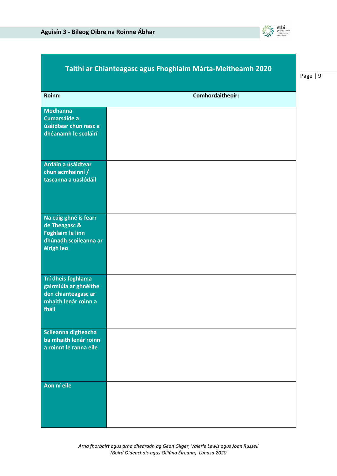

|                                                                                                          | Taithí ar Chianteagasc agus Fhoghlaim Márta-Meitheamh 2020 |
|----------------------------------------------------------------------------------------------------------|------------------------------------------------------------|
| Roinn:                                                                                                   | Comhordaitheoir:                                           |
| <b>Modhanna</b><br>Cumarsáide a<br>úsáidtear chun nasc a<br>dhéanamh le scoláirí                         |                                                            |
| Ardáin a úsáidtear<br>chun acmhainní /<br>tascanna a uaslódáil                                           |                                                            |
| Na cúig ghné is fearr<br>de Theagasc &<br><b>Foghlaim le linn</b><br>dhúnadh scoileanna ar<br>éirigh leo |                                                            |
| Trí dheis foghlama<br>gairmiúla ar ghnéithe<br>den chianteagasc ar<br>mhaith lenár roinn a<br>fháil      |                                                            |
| Scileanna digiteacha<br>ba mhaith lenár roinn<br>a roinnt le ranna eile                                  |                                                            |
| Aon ní eile                                                                                              |                                                            |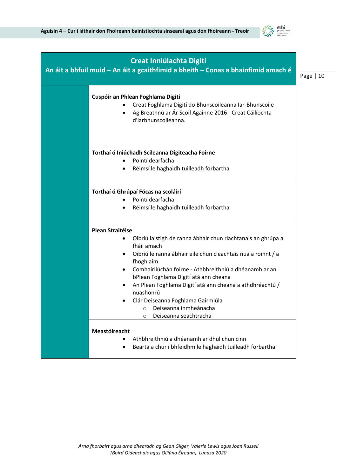

| <b>Creat Inniúlachta Digití</b><br>An áit a bhfuil muid - An áit a gcaithfimid a bheith - Conas a bhainfimid amach é                                                                                                                                                                                                                                                                                                                                             | Page $ 10$ |
|------------------------------------------------------------------------------------------------------------------------------------------------------------------------------------------------------------------------------------------------------------------------------------------------------------------------------------------------------------------------------------------------------------------------------------------------------------------|------------|
| Cuspóir an Phlean Foghlama Digití<br>Creat Foghlama Digití do Bhunscoileanna Iar-Bhunscoile<br>Ag Breathnú ar Ár Scoil Againne 2016 - Creat Cáilíochta<br>d'Iarbhunscoileanna.                                                                                                                                                                                                                                                                                   |            |
| Torthaí ó Iniúchadh Scileanna Digiteacha Foirne<br>Pointí dearfacha<br>Réimsí le haghaidh tuilleadh forbartha                                                                                                                                                                                                                                                                                                                                                    |            |
| Torthaí ó Ghrúpaí Fócas na scoláirí<br>Pointí dearfacha<br>Réimsí le haghaidh tuilleadh forbartha                                                                                                                                                                                                                                                                                                                                                                |            |
| <b>Plean Straitéise</b><br>Oibriú laistigh de ranna ábhair chun riachtanais an ghrúpa a<br>fháil amach<br>Oibriú le ranna ábhair eile chun cleachtais nua a roinnt / a<br>fhoghlaim<br>Comhairliúchán foirne - Athbhreithniú a dhéanamh ar an<br>bPlean Foghlama Digití atá ann cheana<br>An Plean Foghlama Digití atá ann cheana a athdhréachtú /<br>nuashonrú<br>Clár Deiseanna Foghlama Gairmiúla<br>Deiseanna inmheánacha<br>O<br>Deiseanna seachtracha<br>O |            |
| Meastóireacht<br>Athbhreithniú a dhéanamh ar dhul chun cinn<br>Bearta a chur i bhfeidhm le haghaidh tuilleadh forbartha                                                                                                                                                                                                                                                                                                                                          |            |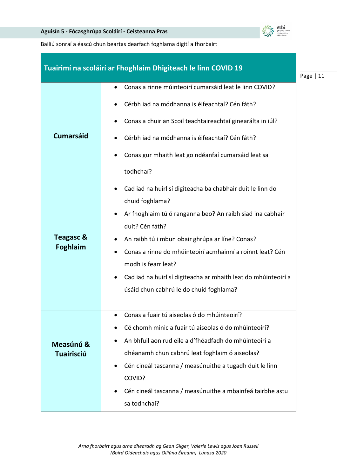

Bailiú sonraí a éascú chun beartas dearfach foghlama digití a fhorbairt

|                                                             | Tuairimí na scoláirí ar Fhoghlaim Dhigiteach le linn COVID 19                                                                                                                                                                                                                                                                                                                                                                                                                                                                                                                                                                                                                                                                  | Page $ 11$ |
|-------------------------------------------------------------|--------------------------------------------------------------------------------------------------------------------------------------------------------------------------------------------------------------------------------------------------------------------------------------------------------------------------------------------------------------------------------------------------------------------------------------------------------------------------------------------------------------------------------------------------------------------------------------------------------------------------------------------------------------------------------------------------------------------------------|------------|
| <b>Cumarsáid</b><br><b>Teagasc &amp;</b><br><b>Foghlaim</b> | Conas a rinne múinteoirí cumarsáid leat le linn COVID?<br>Cérbh iad na módhanna is éifeachtaí? Cén fáth?<br>Conas a chuir an Scoil teachtaireachtaí ginearálta in iúl?<br>Cérbh iad na módhanna is éifeachtaí? Cén fáth?<br>Conas gur mhaith leat go ndéanfaí cumarsáid leat sa<br>todhchaí?<br>Cad iad na huirlisí digiteacha ba chabhair duit le linn do<br>$\bullet$<br>chuid foghlama?<br>Ar fhoghlaim tú ó ranganna beo? An raibh siad ina cabhair<br>duit? Cén fáth?<br>An raibh tú i mbun obair ghrúpa ar líne? Conas?<br>Conas a rinne do mhúinteoirí acmhainní a roinnt leat? Cén<br>modh is fearr leat?<br>Cad iad na huirlisí digiteacha ar mhaith leat do mhúinteoirí a<br>úsáid chun cabhrú le do chuid foghlama? |            |
| Measúnú &<br><b>Tuairisciú</b>                              | Conas a fuair tú aiseolas ó do mhúinteoirí?<br>Cé chomh minic a fuair tú aiseolas ó do mhúinteoirí?<br>An bhfuil aon rud eile a d'fhéadfadh do mhúinteoirí a<br>dhéanamh chun cabhrú leat foghlaim ó aiseolas?<br>Cén cineál tascanna / measúnuithe a tugadh duit le linn<br>COVID?<br>Cén cineál tascanna / measúnuithe a mbainfeá tairbhe astu<br>sa todhchaí?                                                                                                                                                                                                                                                                                                                                                               |            |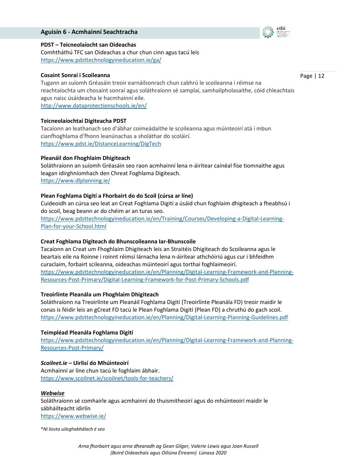#### **Aguisín 6 - Acmhainní Seachtracha**



#### **PDST – Teicneolaíocht san Oideachas**

Comhtháthú TFC san Oideachas a chur chun cinn agus tacú leis <https://www.pdsttechnologyineducation.ie/ga/>

#### **Cosaint Sonraí i Scoileanna**

Page | 12

Tugann an suíomh Gréasáin treoir earnáilsonrach chun cabhrú le scoileanna i réimse na reachtaíochta um chosaint sonraí agus soláthraíonn sé samplaí, samhailpholasaithe, cóid chleachtais agus naisc úsáideacha le hacmhainní eile.

<http://www.dataprotectionschools.ie/en/>

#### **Teicneolaíochtaí Digiteacha PDST**

Tacaíonn an leathanach seo d'ábhar coimeádaithe le scoileanna agus múinteoirí atá i mbun cianfhoghlama d'fhonn leanúnachas a sholáthar do scoláirí. <https://www.pdst.ie/DistanceLearning/DigTech>

#### **Pleanáil don Fhoghlaim Dhigiteach**

Soláthraíonn an suíomh Gréasáin seo raon acmhainní lena n-áirítear cainéal físe tiomnaithe agus leagan idirghníomhach den Chreat Foghlama Digiteach. <https://www.dlplanning.ie/>

#### **Plean Foghlama Digití a Fhorbairt do do Scoil (cúrsa ar líne)**

Cuideoidh an cúrsa seo leat an Creat Foghlama Digití a úsáid chun foghlaim dhigiteach a fheabhsú i do scoil, beag beann ar do chéim ar an turas seo.

[https://www.pdsttechnologyineducation.ie/en/Training/Courses/Developing-a-Digital-Learning-](https://www.pdsttechnologyineducation.ie/en/Training/Courses/Developing-a-Digital-Learning-Plan-for-your-School.html)[Plan-for-your-School.html](https://www.pdsttechnologyineducation.ie/en/Training/Courses/Developing-a-Digital-Learning-Plan-for-your-School.html)

#### **Creat Foghlama Digiteach do Bhunscoileanna Iar-Bhunscoile**

Tacaíonn an Creat um Fhoghlaim Dhigiteach leis an Straitéis Dhigiteach do Scoileanna agus le beartais eile na Roinne i roinnt réimsí lárnacha lena n-áirítear athchóiriú agus cur i bhfeidhm curaclaim, forbairt scileanna, oideachas múinteoirí agus torthaí foghlaimeoirí. [https://www.pdsttechnologyineducation.ie/en/Planning/Digital-Learning-Framework-and-Planning-](https://www.pdsttechnologyineducation.ie/en/Planning/Digital-Learning-Framework-and-Planning-Resources-Post-Primary/Digital-Learning-Framework-for-Post-Primary-Schools.pdf)[Resources-Post-Primary/Digital-Learning-Framework-for-Post-Primary-Schools.pdf](https://www.pdsttechnologyineducation.ie/en/Planning/Digital-Learning-Framework-and-Planning-Resources-Post-Primary/Digital-Learning-Framework-for-Post-Primary-Schools.pdf)

#### **Treoirlínte Pleanála um Fhoghlaim Dhigiteach**

Soláthraíonn na Treoirlínte um Pleanáil Foghlama Digití (Treoirlínte Pleanála FD) treoir maidir le conas is féidir leis an gCreat FD tacú le Plean Foghlama Digití (Plean FD) a chruthú do gach scoil. <https://www.pdsttechnologyineducation.ie/en/Planning/Digital-Learning-Planning-Guidelines.pdf>

#### **Teimpléad Pleanála Foghlama Digití**

[https://www.pdsttechnologyineducation.ie/en/Planning/Digital-Learning-Framework-and-Planning-](https://www.pdsttechnologyineducation.ie/en/Planning/Digital-Learning-Framework-and-Planning-Resources-Post-Primary/)[Resources-Post-Primary/](https://www.pdsttechnologyineducation.ie/en/Planning/Digital-Learning-Framework-and-Planning-Resources-Post-Primary/)

#### *Scoilnet.ie –* **Uirlisí do Mhúinteoirí**

Acmhainní ar líne chun tacú le foghlaim ábhair. <https://www.scoilnet.ie/scoilnet/tools-for-teachers/>

#### *[Webwise](https://www.webwise.ie/)*

Soláthraíonn sé comhairle agus acmhainní do thuismitheoirí agus do mhúinteoirí maidir le sábháilteacht idirlín <https://www.webwise.ie/>

\**Ní liosta uileghabhálach é seo*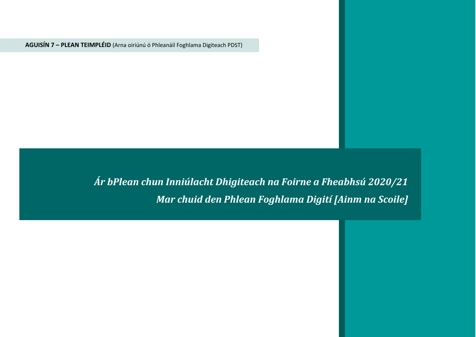**AGUISÍN 7 – PLEAN TEIMPLÉID** (Arna oiriúnú ó Phleanáil Foghlama Digiteach PDST)

*Ár bPlean chun Inniúlacht Dhigiteach na Foirne a Fheabhsú 2020/21 Mar chuid den Phlean Foghlama Digití [Ainm na Scoile]*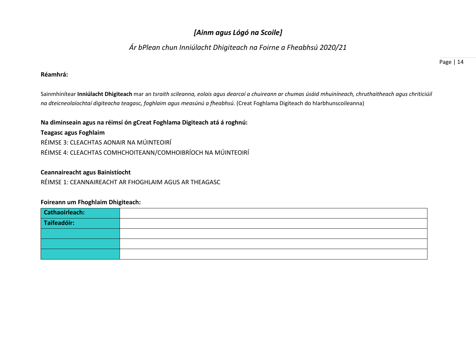# *[Ainm agus Lógó na Scoile]*

# *Ár bPlean chun Inniúlacht Dhigiteach na Foirne a Fheabhsú 2020/21*

#### **Réamhrá:**

Sainmhínítear **Inniúlacht Dhigiteach** mar an *tsraith scileanna, eolais agus dearcaí a chuireann ar chumas úsáid mhuiníneach, chruthaitheach agus chriticiúil na dteicneolaíochtaí digiteacha teagasc, foghlaim agus measúnú a fheabhsú*. (Creat Foghlama Digiteach do hIarbhunscoileanna)

#### **Na diminseain agus na réimsí ón gCreat Foghlama Digiteach atá á roghnú:**

**Teagasc agus Foghlaim** RÉIMSE 3: CLEACHTAS AONAIR NA MÚINTEOIRÍ RÉIMSE 4: CLEACHTAS COMHCHOITEANN/COMHOIBRÍOCH NA MÚINTEOIRÍ

#### **Ceannaireacht agus Bainistíocht**

RÉIMSE 1: CEANNAIREACHT AR FHOGHLAIM AGUS AR THEAGASC

#### **Foireann um Fhoghlaim Dhigiteach:**

| Cathaoirleach: |  |
|----------------|--|
| Taifeadóir:    |  |
|                |  |
|                |  |
|                |  |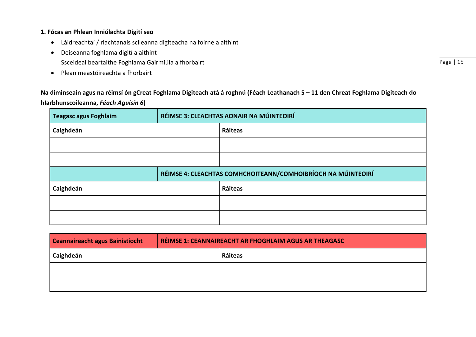### **1. Fócas an Phlean Inniúlachta Digití seo**

- Láidreachtaí / riachtanais scileanna digiteacha na foirne a aithint
- Deiseanna foghlama digití a aithint
	- Ssceideal beartaithe Foghlama Gairmiúla a fhorbairt
- Plean meastóireachta a fhorbairt

**Na diminseain agus na réimsí ón gCreat Foghlama Digiteach atá á roghnú (Féach Leathanach 5 – 11 den Chreat Foghlama Digiteach do hIarbhunscoileanna,** *Féach Aguisín 6***)** 

| <b>Teagasc agus Foghlaim</b> | RÉIMSE 3: CLEACHTAS AONAIR NA MÚINTEOIRÍ                     |         |  |
|------------------------------|--------------------------------------------------------------|---------|--|
| Caighdeán                    |                                                              | Ráiteas |  |
|                              |                                                              |         |  |
|                              |                                                              |         |  |
|                              | RÉIMSE 4: CLEACHTAS COMHCHOITEANN/COMHOIBRÍOCH NA MÚINTEOIRÍ |         |  |
|                              |                                                              |         |  |
| Caighdeán                    |                                                              | Ráiteas |  |
|                              |                                                              |         |  |

| Ceannaireacht agus Bainistíocht | RÉIMSE 1: CEANNAIREACHT AR FHOGHLAIM AGUS AR THEAGASC |         |
|---------------------------------|-------------------------------------------------------|---------|
| Caighdeán                       |                                                       | Ráiteas |
|                                 |                                                       |         |
|                                 |                                                       |         |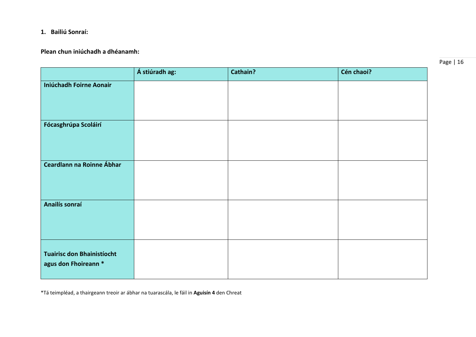# **1. Bailiú Sonraí:**

## **Plean chun iniúchadh a dhéanamh:**

|                                                           | Á stiúradh ag: | Cathain? | Cén chaoi? |
|-----------------------------------------------------------|----------------|----------|------------|
| <b>Iniúchadh Foirne Aonair</b>                            |                |          |            |
|                                                           |                |          |            |
| Fócasghrúpa Scoláirí                                      |                |          |            |
| Ceardlann na Roinne Ábhar                                 |                |          |            |
| Anailís sonraí                                            |                |          |            |
| <b>Tuairisc don Bhainistíocht</b><br>agus don Fhoireann * |                |          |            |

\*Tá teimpléad, a thairgeann treoir ar ábhar na tuarascála, le fáil in **Aguisín 4** den Chreat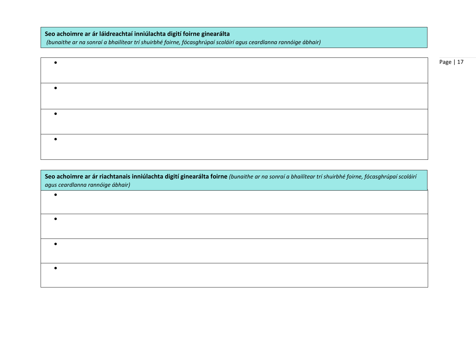**Seo achoimre ar ár láidreachtaí inniúlachta digití foirne ginearálta**

•

*(bunaithe ar na sonraí a bhailítear trí shuirbhé foirne, fócasghrúpaí scoláirí agus ceardlanna rannóige ábhair)*

|  | Page   17 |
|--|-----------|
|  |           |
|  |           |
|  |           |
|  |           |
|  |           |
|  |           |
|  |           |
|  |           |
|  |           |
|  |           |
|  |           |
|  |           |

**Seo achoimre ar ár riachtanais inniúlachta digití ginearálta foirne** *(bunaithe ar na sonraí a bhailítear trí shuirbhé foirne, fócasghrúpaí scoláirí agus ceardlanna rannóige ábhair)*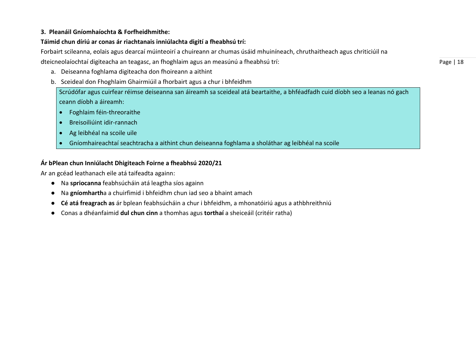### **3. Pleanáil Gníomhaíochta & Forfheidhmithe:**

# **Táimid chun díriú ar conas ár riachtanais inniúlachta digití a fheabhsú trí:**

Forbairt scileanna, eolais agus dearcaí múinteoirí a chuireann ar chumas úsáid mhuiníneach, chruthaitheach agus chriticiúil na

dteicneolaíochtaí digiteacha an teagasc, an fhoghlaim agus an measúnú a fheabhsú trí:

- a. Deiseanna foghlama digiteacha don fhoireann a aithint
- b. Sceideal don Fhoghlaim Ghairmiúil a fhorbairt agus a chur i bhfeidhm

Scrúdófar agus cuirfear réimse deiseanna san áireamh sa sceideal atá beartaithe, a bhféadfadh cuid díobh seo a leanas nó gach ceann díobh a áireamh:

- Foghlaim féin-threoraithe
- Breisoiliúint idir-rannach
- Ag leibhéal na scoile uile
- Gníomhaireachtaí seachtracha a aithint chun deiseanna foghlama a sholáthar ag leibhéal na scoile

# **Ár bPlean chun Inniúlacht Dhigiteach Foirne a fheabhsú 2020/21**

Ar an gcéad leathanach eile atá taifeadta againn:

- Na **spriocanna** feabhsúcháin atá leagtha síos againn
- Na **gníomharth**a a chuirfimid i bhfeidhm chun iad seo a bhaint amach
- **Cé atá freagrach as** ár bplean feabhsúcháin a chur i bhfeidhm, a mhonatóiriú agus a athbhreithniú
- Conas a dhéanfaimid **dul chun cinn** a thomhas agus **torthaí** a sheiceáil (critéir ratha)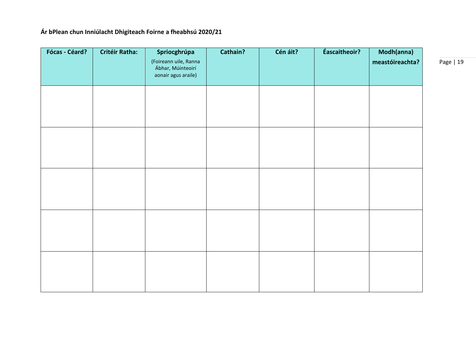# **Ár bPlean chun Inniúlacht Dhigiteach Foirne a fheabhsú 2020/21**

| <b>Fócas - Céard?</b> | <b>Critéir Ratha:</b> | Spriocghrúpa<br>(Foireann uile, Ranna<br>Ábhar, Múinteoirí<br>aonair agus araile) | Cathain? | Cén áit? | Éascaitheoir? | Modh(anna)<br>meastóireachta? |
|-----------------------|-----------------------|-----------------------------------------------------------------------------------|----------|----------|---------------|-------------------------------|
|                       |                       |                                                                                   |          |          |               |                               |
|                       |                       |                                                                                   |          |          |               |                               |
|                       |                       |                                                                                   |          |          |               |                               |
|                       |                       |                                                                                   |          |          |               |                               |
|                       |                       |                                                                                   |          |          |               |                               |
|                       |                       |                                                                                   |          |          |               |                               |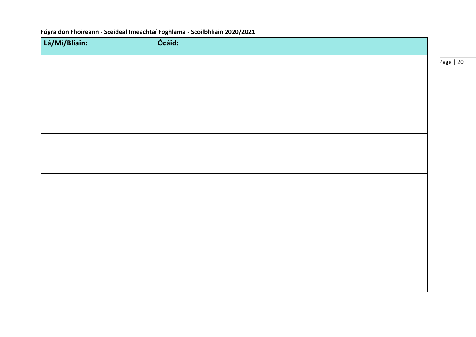# **Fógra don Fhoireann - Sceideal Imeachtaí Foghlama - Scoilbhliain 2020/2021**

| Lá/Mí/Bliain: | Ócáid: |
|---------------|--------|
|               |        |
|               |        |
|               |        |
|               |        |
|               |        |
|               |        |
|               |        |
|               |        |
|               |        |
|               |        |
|               |        |
|               |        |
|               |        |
|               |        |
|               |        |
|               |        |
|               |        |
|               |        |
|               |        |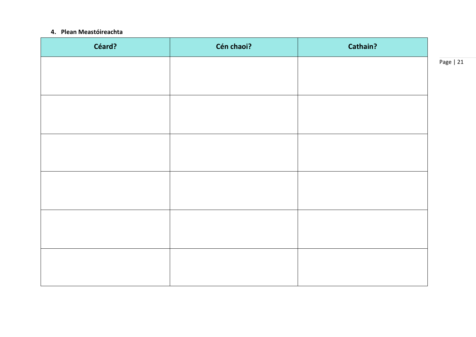#### **4. Plean Meastóireachta**

| Céard? | Cén chaoi? | Cathain? |
|--------|------------|----------|
|        |            |          |
|        |            |          |
|        |            |          |
|        |            |          |
|        |            |          |
|        |            |          |
|        |            |          |
|        |            |          |
|        |            |          |
|        |            |          |
|        |            |          |
|        |            |          |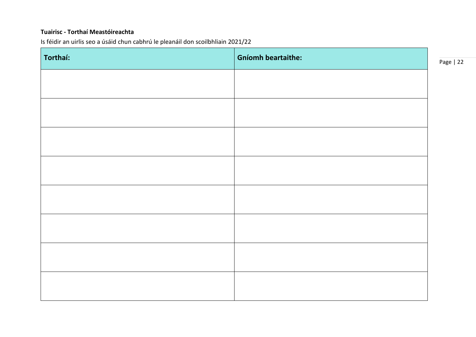### **Tuairisc - Torthaí Meastóireachta**

Is féidir an uirlis seo a úsáid chun cabhrú le pleanáil don scoilbhliain 2021/22

| Torthaí: | <b>Gníomh beartaithe:</b> |
|----------|---------------------------|
|          |                           |
|          |                           |
|          |                           |
|          |                           |
|          |                           |
|          |                           |
|          |                           |
|          |                           |
|          |                           |
|          |                           |
|          |                           |
|          |                           |